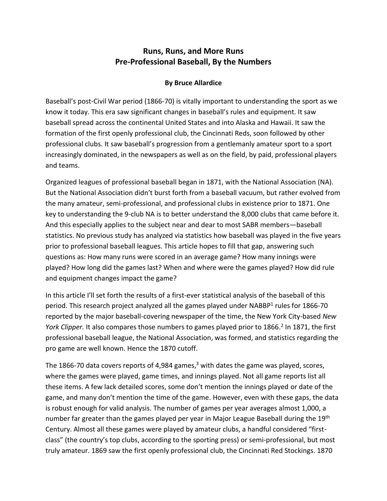# **Runs, Runs, and More Runs Pre-Professional Baseball, By the Numbers**

### **By Bruce Allardice**

Baseball's post-Civil War period (1866-70) is vitally important to understanding the sport as we know it today. This era saw significant changes in baseball's rules and equipment. It saw baseball spread across the continental United States and into Alaska and Hawaii. It saw the formation of the first openly professional club, the Cincinnati Reds, soon followed by other professional clubs. It saw baseball's progression from a gentlemanly amateur sport to a sport increasingly dominated, in the newspapers as well as on the field, by paid, professional players and teams.

Organized leagues of professional baseball began in 1871, with the National Association (NA). But the National Association didn't burst forth from a baseball vacuum, but rather evolved from the many amateur, semi-professional, and professional clubs in existence prior to 1871. One key to understanding the 9-club NA is to better understand the 8,000 clubs that came before it. And this especially applies to the subject near and dear to most SABR members—baseball statistics. No previous study has analyzed via statistics how baseball was played in the five years prior to professional baseball leagues. This article hopes to fill that gap, answering such questions as: How many runs were scored in an average game? How many innings were played? How long did the games last? When and where were the games played? How did rule and equipment changes impact the game?

In this article I'll set forth the results of a first-ever statistical analysis of the baseball of this period. This research project analyzed all the games played under NABBP<sup>1</sup> rules for 1866-70 reported by the major baseball-covering newspaper of the time, the New York City-based *New*  York Clipper. It also compares those numbers to games played prior to 1866.<sup>2</sup> In 1871, the first professional baseball league, the National Association, was formed, and statistics regarding the pro game are well known. Hence the 1870 cutoff.

The 1866-70 data covers reports of 4,984 games, $3$  with dates the game was played, scores, where the games were played, game times, and innings played. Not all game reports list all these items. A few lack detailed scores, some don't mention the innings played or date of the game, and many don't mention the time of the game. However, even with these gaps, the data is robust enough for valid analysis. The number of games per year averages almost 1,000, a number far greater than the games played per year in Major League Baseball during the 19th Century. Almost all these games were played by amateur clubs, a handful considered "firstclass" (the country's top clubs, according to the sporting press) or semi-professional, but most truly amateur. 1869 saw the first openly professional club, the Cincinnati Red Stockings. 1870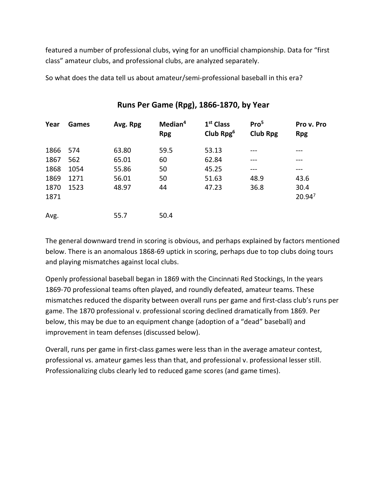featured a number of professional clubs, vying for an unofficial championship. Data for "first class" amateur clubs, and professional clubs, are analyzed separately.

So what does the data tell us about amateur/semi-professional baseball in this era?

| Year     | Games | Avg. Rpg | Median <sup>4</sup><br><b>Rpg</b> | 1 <sup>st</sup> Class<br>Club Rpg $6$ | Pro <sup>5</sup><br><b>Club Rpg</b> | Pro v. Pro<br><b>Rpg</b> |
|----------|-------|----------|-----------------------------------|---------------------------------------|-------------------------------------|--------------------------|
| 1866 574 |       | 63.80    | 59.5                              | 53.13                                 |                                     |                          |
| 1867     | 562   | 65.01    | 60                                | 62.84                                 |                                     |                          |
| 1868     | 1054  | 55.86    | 50                                | 45.25                                 |                                     | ---                      |
| 1869     | 1271  | 56.01    | 50                                | 51.63                                 | 48.9                                | 43.6                     |
| 1870     | 1523  | 48.97    | 44                                | 47.23                                 | 36.8                                | 30.4                     |
| 1871     |       |          |                                   |                                       |                                     | 20.947                   |
| Avg.     |       | 55.7     | 50.4                              |                                       |                                     |                          |

### **Runs Per Game (Rpg), 1866-1870, by Year**

The general downward trend in scoring is obvious, and perhaps explained by factors mentioned below. There is an anomalous 1868-69 uptick in scoring, perhaps due to top clubs doing tours and playing mismatches against local clubs.

Openly professional baseball began in 1869 with the Cincinnati Red Stockings, In the years 1869-70 professional teams often played, and roundly defeated, amateur teams. These mismatches reduced the disparity between overall runs per game and first-class club's runs per game. The 1870 professional v. professional scoring declined dramatically from 1869. Per below, this may be due to an equipment change (adoption of a "dead" baseball) and improvement in team defenses (discussed below).

Overall, runs per game in first-class games were less than in the average amateur contest, professional vs. amateur games less than that, and professional v. professional lesser still. Professionalizing clubs clearly led to reduced game scores (and game times).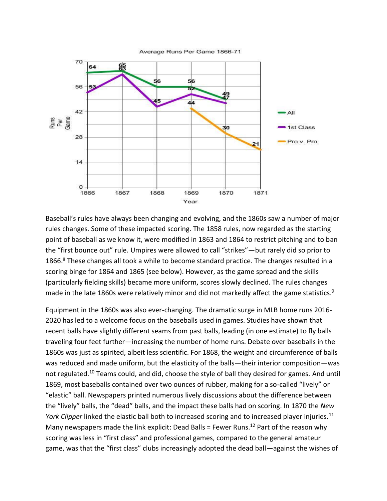

Baseball's rules have always been changing and evolving, and the 1860s saw a number of major rules changes. Some of these impacted scoring. The 1858 rules, now regarded as the starting point of baseball as we know it, were modified in 1863 and 1864 to restrict pitching and to ban the "first bounce out" rule. Umpires were allowed to call "strikes"—but rarely did so prior to 1866.<sup>8</sup> These changes all took a while to become standard practice. The changes resulted in a scoring binge for 1864 and 1865 (see below). However, as the game spread and the skills (particularly fielding skills) became more uniform, scores slowly declined. The rules changes made in the late 1860s were relatively minor and did not markedly affect the game statistics.<sup>9</sup>

Equipment in the 1860s was also ever-changing. The dramatic surge in MLB home runs 2016- 2020 has led to a welcome focus on the baseballs used in games. Studies have shown that recent balls have slightly different seams from past balls, leading (in one estimate) to fly balls traveling four feet further—increasing the number of home runs. Debate over baseballs in the 1860s was just as spirited, albeit less scientific. For 1868, the weight and circumference of balls was reduced and made uniform, but the elasticity of the balls—their interior composition—was not regulated.<sup>10</sup> Teams could, and did, choose the style of ball they desired for games. And until 1869, most baseballs contained over two ounces of rubber, making for a so-called "lively" or "elastic" ball. Newspapers printed numerous lively discussions about the difference between the "lively" balls, the "dead" balls, and the impact these balls had on scoring. In 1870 the *New York Clipper* linked the elastic ball both to increased scoring and to increased player injuries.<sup>11</sup> Many newspapers made the link explicit: Dead Balls = Fewer Runs.<sup>12</sup> Part of the reason why scoring was less in "first class" and professional games, compared to the general amateur game, was that the "first class" clubs increasingly adopted the dead ball—against the wishes of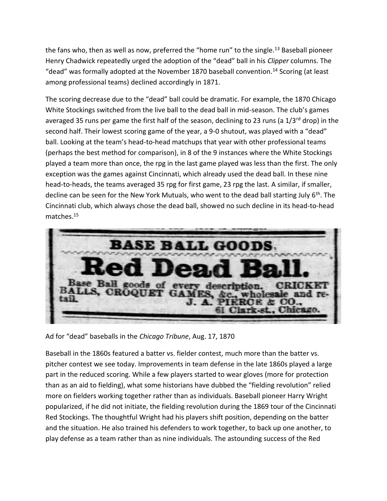the fans who, then as well as now, preferred the "home run" to the single.<sup>13</sup> Baseball pioneer Henry Chadwick repeatedly urged the adoption of the "dead" ball in his *Clipper* columns. The "dead" was formally adopted at the November 1870 baseball convention.<sup>14</sup> Scoring (at least among professional teams) declined accordingly in 1871.

The scoring decrease due to the "dead" ball could be dramatic. For example, the 1870 Chicago White Stockings switched from the live ball to the dead ball in mid-season. The club's games averaged 35 runs per game the first half of the season, declining to 23 runs (a  $1/3^{rd}$  drop) in the second half. Their lowest scoring game of the year, a 9-0 shutout, was played with a "dead" ball. Looking at the team's head-to-head matchups that year with other professional teams (perhaps the best method for comparison), in 8 of the 9 instances where the White Stockings played a team more than once, the rpg in the last game played was less than the first. The only exception was the games against Cincinnati, which already used the dead ball. In these nine head-to-heads, the teams averaged 35 rpg for first game, 23 rpg the last. A similar, if smaller, decline can be seen for the New York Mutuals, who went to the dead ball starting July 6<sup>th</sup>. The Cincinnati club, which always chose the dead ball, showed no such decline in its head-to-head matches.<sup>15</sup>



Ad for "dead" baseballs in the *Chicago Tribune*, Aug. 17, 1870

Baseball in the 1860s featured a batter vs. fielder contest, much more than the batter vs. pitcher contest we see today. Improvements in team defense in the late 1860s played a large part in the reduced scoring. While a few players started to wear gloves (more for protection than as an aid to fielding), what some historians have dubbed the "fielding revolution" relied more on fielders working together rather than as individuals. Baseball pioneer Harry Wright popularized, if he did not initiate, the fielding revolution during the 1869 tour of the Cincinnati Red Stockings. The thoughtful Wright had his players shift position, depending on the batter and the situation. He also trained his defenders to work together, to back up one another, to play defense as a team rather than as nine individuals. The astounding success of the Red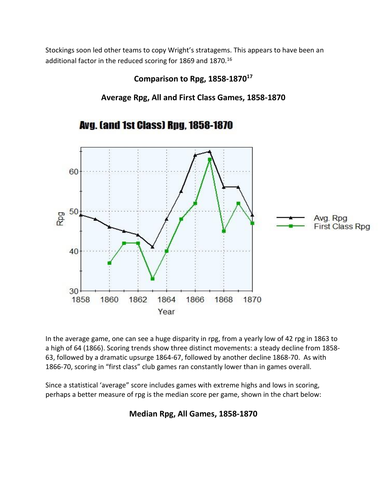Stockings soon led other teams to copy Wright's stratagems. This appears to have been an additional factor in the reduced scoring for 1869 and 1870.<sup>16</sup>

## **Comparison to Rpg, 1858-1870<sup>17</sup>**

**Average Rpg, All and First Class Games, 1858-1870**



**Avg. (and 1st Class) Rpg. 1858-1870** 

In the average game, one can see a huge disparity in rpg, from a yearly low of 42 rpg in 1863 to a high of 64 (1866). Scoring trends show three distinct movements: a steady decline from 1858- 63, followed by a dramatic upsurge 1864-67, followed by another decline 1868-70. As with 1866-70, scoring in "first class" club games ran constantly lower than in games overall.

Since a statistical 'average" score includes games with extreme highs and lows in scoring, perhaps a better measure of rpg is the median score per game, shown in the chart below:

# **Median Rpg, All Games, 1858-1870**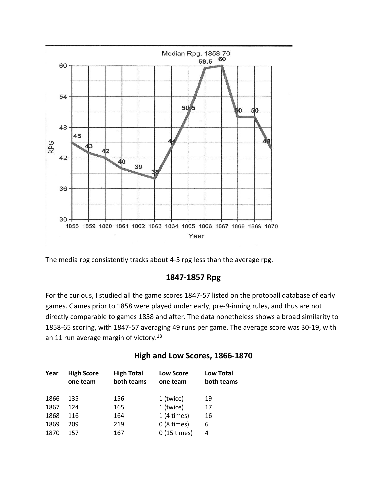

The media rpg consistently tracks about 4-5 rpg less than the average rpg.

### **1847-1857 Rpg**

For the curious, I studied all the game scores 1847-57 listed on the protoball database of early games. Games prior to 1858 were played under early, pre-9-inning rules, and thus are not directly comparable to games 1858 and after. The data nonetheless shows a broad similarity to 1858-65 scoring, with 1847-57 averaging 49 runs per game. The average score was 30-19, with an 11 run average margin of victory.<sup>18</sup>

## **High and Low Scores, 1866-1870**

| Year | <b>High Score</b><br>one team | <b>High Total</b><br>both teams | <b>Low Score</b><br>one team | <b>Low Total</b><br>both teams |
|------|-------------------------------|---------------------------------|------------------------------|--------------------------------|
| 1866 | 135                           | 156                             | 1 (twice)                    | 19                             |
| 1867 | 124                           | 165                             | 1 (twice)                    | 17                             |
| 1868 | 116                           | 164                             | $1(4 \times)$                | 16                             |
| 1869 | 209                           | 219                             | $0(8 \times)$                | 6                              |
| 1870 | 157                           | 167                             | 0 (15 times)                 | 4                              |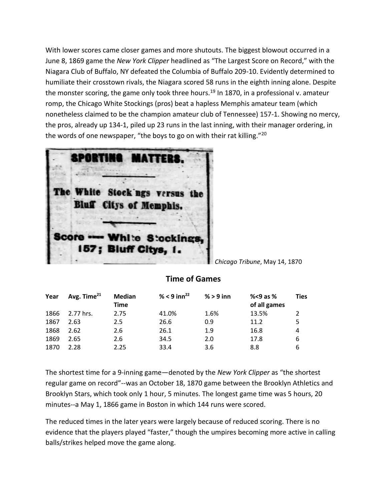With lower scores came closer games and more shutouts. The biggest blowout occurred in a June 8, 1869 game the *New York Clipper* headlined as "The Largest Score on Record," with the Niagara Club of Buffalo, NY defeated the Columbia of Buffalo 209-10. Evidently determined to humiliate their crosstown rivals, the Niagara scored 58 runs in the eighth inning alone. Despite the monster scoring, the game only took three hours.<sup>19</sup> In 1870, in a professional v. amateur romp, the Chicago White Stockings (pros) beat a hapless Memphis amateur team (which nonetheless claimed to be the champion amateur club of Tennessee) 157-1. Showing no mercy, the pros, already up 134-1, piled up 23 runs in the last inning, with their manager ordering, in the words of one newspaper, "the boys to go on with their rat killing."<sup>20</sup>



#### *Chicago Tribune*, May 14, 1870

### **Time of Games**

| Year | Avg. Time <sup>21</sup> | Median<br>Time | % < 9 inn <sup>22</sup> | $% > 9$ inn | %<9 as $%$<br>of all games | Ties          |
|------|-------------------------|----------------|-------------------------|-------------|----------------------------|---------------|
| 1866 | 2.77 hrs.               | 2.75           | 41.0%                   | 1.6%        | 13.5%                      | $\mathcal{L}$ |
| 1867 | 2.63                    | 2.5            | 26.6                    | 0.9         | 11.2                       | 5.            |
| 1868 | 2.62                    | 2.6            | 26.1                    | 1.9         | 16.8                       | 4             |
| 1869 | 2.65                    | 2.6            | 34.5                    | 2.0         | 17.8                       | 6             |
| 1870 | 2.28                    | 2.25           | 33.4                    | 3.6         | 8.8                        | 6             |

The shortest time for a 9-inning game—denoted by the *New York Clipper* as "the shortest regular game on record"--was an October 18, 1870 game between the Brooklyn Athletics and Brooklyn Stars, which took only 1 hour, 5 minutes. The longest game time was 5 hours, 20 minutes--a May 1, 1866 game in Boston in which 144 runs were scored.

The reduced times in the later years were largely because of reduced scoring. There is no evidence that the players played "faster," though the umpires becoming more active in calling balls/strikes helped move the game along.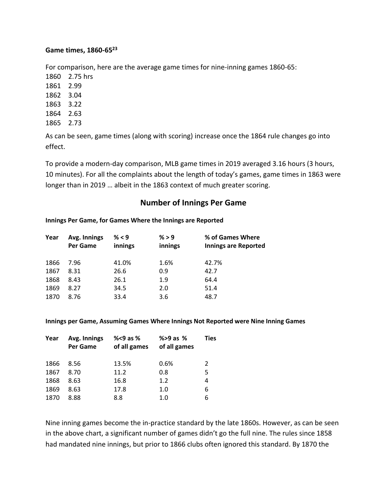#### **Game times, 1860-65<sup>23</sup>**

For comparison, here are the average game times for nine-inning games 1860-65:

1860 2.75 hrs 1861 2.99 1862 3.04 1863 3.22 1864 2.63

1865 2.73

As can be seen, game times (along with scoring) increase once the 1864 rule changes go into effect.

To provide a modern-day comparison, MLB game times in 2019 averaged 3.16 hours (3 hours, 10 minutes). For all the complaints about the length of today's games, game times in 1863 were longer than in 2019 … albeit in the 1863 context of much greater scoring.

### **Number of Innings Per Game**

#### **Innings Per Game, for Games Where the Innings are Reported**

| Year | Avg. Innings<br>Per Game | % < 9<br>innings | % > 9<br>innings | % of Games Where<br><b>Innings are Reported</b> |
|------|--------------------------|------------------|------------------|-------------------------------------------------|
| 1866 | 7.96                     | 41.0%            | 1.6%             | 42.7%                                           |
| 1867 | 8.31                     | 26.6             | 0.9              | 42.7                                            |
| 1868 | 8.43                     | 26.1             | 1.9              | 64.4                                            |
| 1869 | 8.27                     | 34.5             | 2.0              | 51.4                                            |
| 1870 | 8.76                     | 33.4             | 3.6              | 48.7                                            |

#### **Innings per Game, Assuming Games Where Innings Not Reported were Nine Inning Games**

| Year | Avg. Innings<br>Per Game | % $<$ 9 as %<br>of all games | $% > 9$ as $%$<br>of all games | <b>Ties</b> |
|------|--------------------------|------------------------------|--------------------------------|-------------|
| 1866 | 8.56                     | 13.5%                        | 0.6%                           | 2           |
| 1867 | 8.70                     | 11.2                         | 0.8                            | 5           |
| 1868 | 8.63                     | 16.8                         | 1.2                            | 4           |
| 1869 | 8.63                     | 17.8                         | 1.0                            | 6           |
| 1870 | 8.88                     | 8.8                          | 1.0                            | 6           |

Nine inning games become the in-practice standard by the late 1860s. However, as can be seen in the above chart, a significant number of games didn't go the full nine. The rules since 1858 had mandated nine innings, but prior to 1866 clubs often ignored this standard. By 1870 the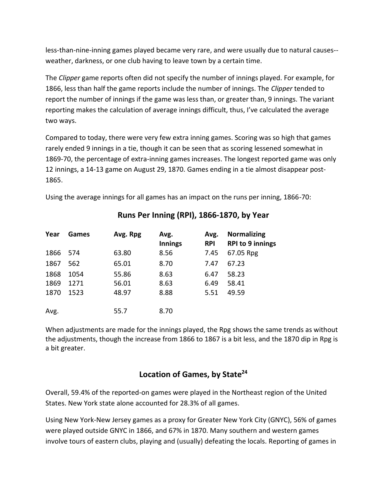less-than-nine-inning games played became very rare, and were usually due to natural causes- weather, darkness, or one club having to leave town by a certain time.

The *Clipper* game reports often did not specify the number of innings played. For example, for 1866, less than half the game reports include the number of innings. The *Clipper* tended to report the number of innings if the game was less than, or greater than, 9 innings. The variant reporting makes the calculation of average innings difficult, thus, I've calculated the average two ways.

Compared to today, there were very few extra inning games. Scoring was so high that games rarely ended 9 innings in a tie, though it can be seen that as scoring lessened somewhat in 1869-70, the percentage of extra-inning games increases. The longest reported game was only 12 innings, a 14-13 game on August 29, 1870. Games ending in a tie almost disappear post-1865.

Using the average innings for all games has an impact on the runs per inning, 1866-70:

| Year     | <b>Games</b> | Avg. Rpg | Avg.<br><b>Innings</b> | Avg.<br><b>RPI</b> | <b>Normalizing</b><br><b>RPI to 9 innings</b> |
|----------|--------------|----------|------------------------|--------------------|-----------------------------------------------|
| 1866 574 |              | 63.80    | 8.56                   | 7.45               | 67.05 Rpg                                     |
| 1867     | 562          | 65.01    | 8.70                   | 7.47               | 67.23                                         |
| 1868     | 1054         | 55.86    | 8.63                   | 6.47               | 58.23                                         |
| 1869     | 1271         | 56.01    | 8.63                   | 6.49               | 58.41                                         |
| 1870     | 1523         | 48.97    | 8.88                   | 5.51               | 49.59                                         |
| Avg.     |              | 55.7     | 8.70                   |                    |                                               |

### **Runs Per Inning (RPI), 1866-1870, by Year**

When adjustments are made for the innings played, the Rpg shows the same trends as without the adjustments, though the increase from 1866 to 1867 is a bit less, and the 1870 dip in Rpg is a bit greater.

## **Location of Games, by State<sup>24</sup>**

Overall, 59.4% of the reported-on games were played in the Northeast region of the United States. New York state alone accounted for 28.3% of all games.

Using New York-New Jersey games as a proxy for Greater New York City (GNYC), 56% of games were played outside GNYC in 1866, and 67% in 1870. Many southern and western games involve tours of eastern clubs, playing and (usually) defeating the locals. Reporting of games in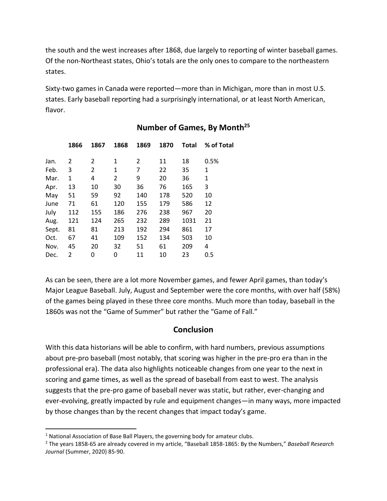the south and the west increases after 1868, due largely to reporting of winter baseball games. Of the non-Northeast states, Ohio's totals are the only ones to compare to the northeastern states.

Sixty-two games in Canada were reported—more than in Michigan, more than in most U.S. states. Early baseball reporting had a surprisingly international, or at least North American, flavor.

|       | 1866 | 1867 | 1868 | 1869 | 1870 | Total | % of Total |
|-------|------|------|------|------|------|-------|------------|
| Jan.  | 2    | 2    | 1    | 2    | 11   | 18    | 0.5%       |
| Feb.  | 3    | 2    | 1    | 7    | 22   | 35    | 1          |
| Mar.  | 1    | 4    | 2    | 9    | 20   | 36    | 1          |
| Apr.  | 13   | 10   | 30   | 36   | 76   | 165   | 3          |
| May   | 51   | 59   | 92   | 140  | 178  | 520   | 10         |
| June  | 71   | 61   | 120  | 155  | 179  | 586   | 12         |
| July  | 112  | 155  | 186  | 276  | 238  | 967   | 20         |
| Aug.  | 121  | 124  | 265  | 232  | 289  | 1031  | 21         |
| Sept. | 81   | 81   | 213  | 192  | 294  | 861   | 17         |
| Oct.  | 67   | 41   | 109  | 152  | 134  | 503   | 10         |
| Nov.  | 45   | 20   | 32   | 51   | 61   | 209   | 4          |
| Dec.  | 2    | 0    | 0    | 11   | 10   | 23    | 0.5        |
|       |      |      |      |      |      |       |            |

### **Number of Games, By Month<sup>25</sup>**

As can be seen, there are a lot more November games, and fewer April games, than today's Major League Baseball. July, August and September were the core months, with over half (58%) of the games being played in these three core months. Much more than today, baseball in the 1860s was not the "Game of Summer" but rather the "Game of Fall."

### **Conclusion**

With this data historians will be able to confirm, with hard numbers, previous assumptions about pre-pro baseball (most notably, that scoring was higher in the pre-pro era than in the professional era). The data also highlights noticeable changes from one year to the next in scoring and game times, as well as the spread of baseball from east to west. The analysis suggests that the pre-pro game of baseball never was static, but rather, ever-changing and ever-evolving, greatly impacted by rule and equipment changes—in many ways, more impacted by those changes than by the recent changes that impact today's game.

 $1$  National Association of Base Ball Players, the governing body for amateur clubs.

<sup>2</sup> The years 1858-65 are already covered in my article, "Baseball 1858-1865: By the Numbers," *Baseball Research Journal* (Summer, 2020} 85-90.